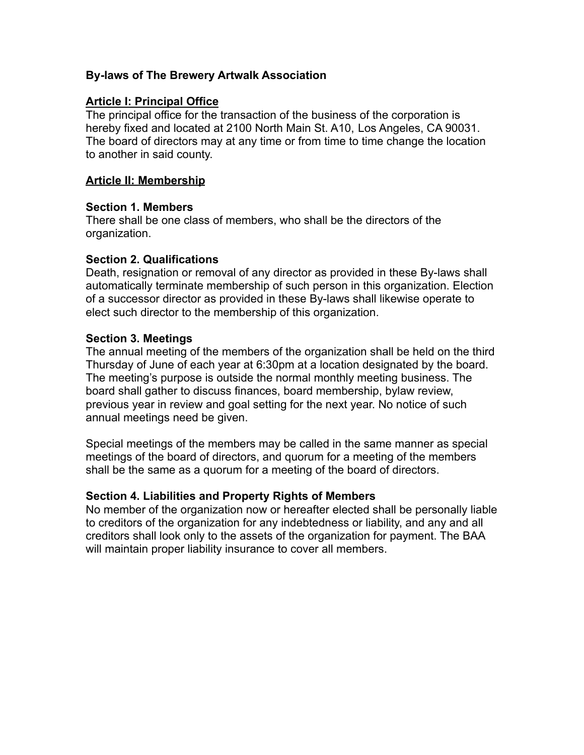## **By-laws of The Brewery Artwalk Association**

## **Article I: Principal Office**

The principal office for the transaction of the business of the corporation is hereby fixed and located at 2100 North Main St. A10, Los Angeles, CA 90031. The board of directors may at any time or from time to time change the location to another in said county.

## **Article II: Membership**

## **Section 1. Members**

There shall be one class of members, who shall be the directors of the organization.

## **Section 2. Qualifications**

Death, resignation or removal of any director as provided in these By-laws shall automatically terminate membership of such person in this organization. Election of a successor director as provided in these By-laws shall likewise operate to elect such director to the membership of this organization.

### **Section 3. Meetings**

The annual meeting of the members of the organization shall be held on the third Thursday of June of each year at 6:30pm at a location designated by the board. The meeting's purpose is outside the normal monthly meeting business. The board shall gather to discuss finances, board membership, bylaw review, previous year in review and goal setting for the next year. No notice of such annual meetings need be given.

Special meetings of the members may be called in the same manner as special meetings of the board of directors, and quorum for a meeting of the members shall be the same as a quorum for a meeting of the board of directors.

## **Section 4. Liabilities and Property Rights of Members**

No member of the organization now or hereafter elected shall be personally liable to creditors of the organization for any indebtedness or liability, and any and all creditors shall look only to the assets of the organization for payment. The BAA will maintain proper liability insurance to cover all members.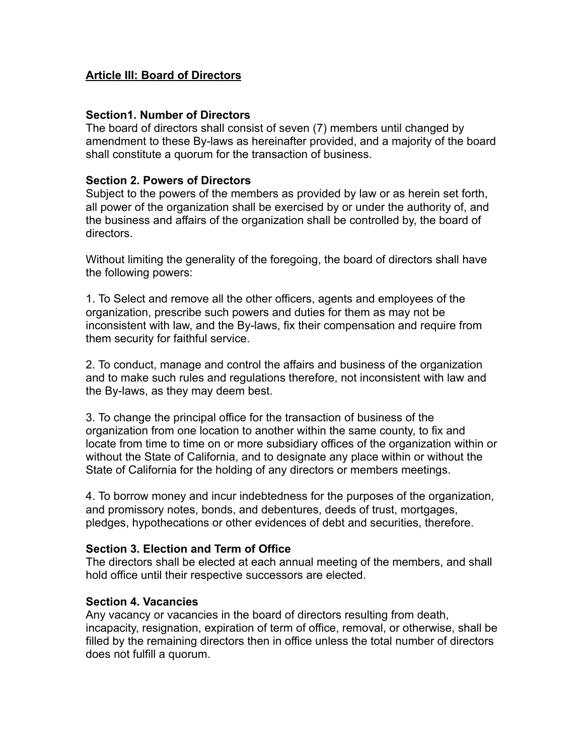# **Article III: Board of Directors**

## **Section1. Number of Directors**

The board of directors shall consist of seven (7) members until changed by amendment to these By-laws as hereinafter provided, and a majority of the board shall constitute a quorum for the transaction of business.

## **Section 2. Powers of Directors**

Subject to the powers of the members as provided by law or as herein set forth, all power of the organization shall be exercised by or under the authority of, and the business and affairs of the organization shall be controlled by, the board of directors.

Without limiting the generality of the foregoing, the board of directors shall have the following powers:

1. To Select and remove all the other officers, agents and employees of the organization, prescribe such powers and duties for them as may not be inconsistent with law, and the By-laws, fix their compensation and require from them security for faithful service.

2. To conduct, manage and control the affairs and business of the organization and to make such rules and regulations therefore, not inconsistent with law and the By-laws, as they may deem best.

3. To change the principal office for the transaction of business of the organization from one location to another within the same county, to fix and locate from time to time on or more subsidiary offices of the organization within or without the State of California, and to designate any place within or without the State of California for the holding of any directors or members meetings.

4. To borrow money and incur indebtedness for the purposes of the organization, and promissory notes, bonds, and debentures, deeds of trust, mortgages, pledges, hypothecations or other evidences of debt and securities, therefore.

## **Section 3. Election and Term of Office**

The directors shall be elected at each annual meeting of the members, and shall hold office until their respective successors are elected.

## **Section 4. Vacancies**

Any vacancy or vacancies in the board of directors resulting from death, incapacity, resignation, expiration of term of office, removal, or otherwise, shall be filled by the remaining directors then in office unless the total number of directors does not fulfill a quorum.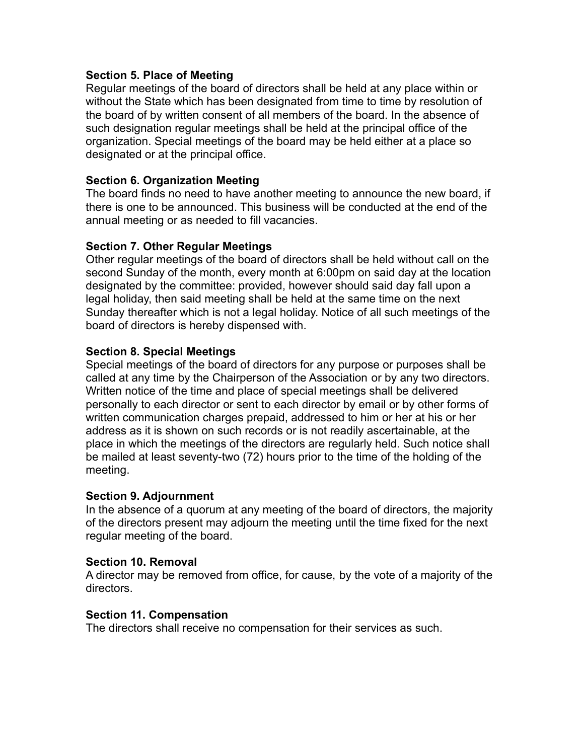### **Section 5. Place of Meeting**

Regular meetings of the board of directors shall be held at any place within or without the State which has been designated from time to time by resolution of the board of by written consent of all members of the board. In the absence of such designation regular meetings shall be held at the principal office of the organization. Special meetings of the board may be held either at a place so designated or at the principal office.

### **Section 6. Organization Meeting**

The board finds no need to have another meeting to announce the new board, if there is one to be announced. This business will be conducted at the end of the annual meeting or as needed to fill vacancies.

### **Section 7. Other Regular Meetings**

Other regular meetings of the board of directors shall be held without call on the second Sunday of the month, every month at 6:00pm on said day at the location designated by the committee: provided, however should said day fall upon a legal holiday, then said meeting shall be held at the same time on the next Sunday thereafter which is not a legal holiday. Notice of all such meetings of the board of directors is hereby dispensed with.

### **Section 8. Special Meetings**

Special meetings of the board of directors for any purpose or purposes shall be called at any time by the Chairperson of the Association or by any two directors. Written notice of the time and place of special meetings shall be delivered personally to each director or sent to each director by email or by other forms of written communication charges prepaid, addressed to him or her at his or her address as it is shown on such records or is not readily ascertainable, at the place in which the meetings of the directors are regularly held. Such notice shall be mailed at least seventy-two (72) hours prior to the time of the holding of the meeting.

#### **Section 9. Adjournment**

In the absence of a quorum at any meeting of the board of directors, the majority of the directors present may adjourn the meeting until the time fixed for the next regular meeting of the board.

#### **Section 10. Removal**

A director may be removed from office, for cause, by the vote of a majority of the directors.

#### **Section 11. Compensation**

The directors shall receive no compensation for their services as such.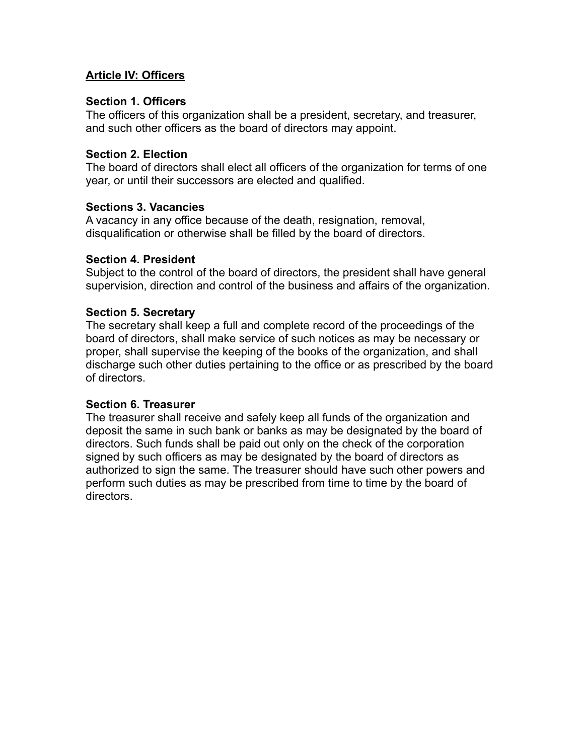# **Article IV: Officers**

### **Section 1. Officers**

The officers of this organization shall be a president, secretary, and treasurer, and such other officers as the board of directors may appoint.

### **Section 2. Election**

The board of directors shall elect all officers of the organization for terms of one year, or until their successors are elected and qualified.

### **Sections 3. Vacancies**

A vacancy in any office because of the death, resignation, removal, disqualification or otherwise shall be filled by the board of directors.

### **Section 4. President**

Subject to the control of the board of directors, the president shall have general supervision, direction and control of the business and affairs of the organization.

### **Section 5. Secretary**

The secretary shall keep a full and complete record of the proceedings of the board of directors, shall make service of such notices as may be necessary or proper, shall supervise the keeping of the books of the organization, and shall discharge such other duties pertaining to the office or as prescribed by the board of directors.

## **Section 6. Treasurer**

The treasurer shall receive and safely keep all funds of the organization and deposit the same in such bank or banks as may be designated by the board of directors. Such funds shall be paid out only on the check of the corporation signed by such officers as may be designated by the board of directors as authorized to sign the same. The treasurer should have such other powers and perform such duties as may be prescribed from time to time by the board of directors.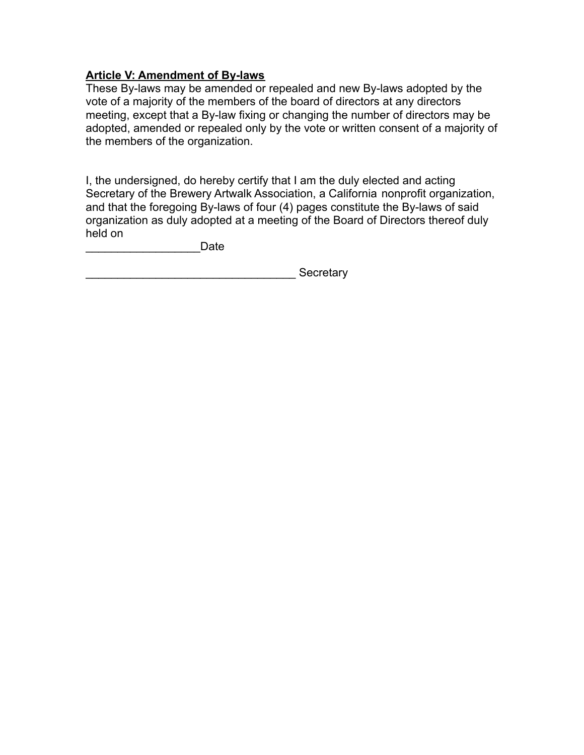## **Article V: Amendment of By-laws**

These By-laws may be amended or repealed and new By-laws adopted by the vote of a majority of the members of the board of directors at any directors meeting, except that a By-law fixing or changing the number of directors may be adopted, amended or repealed only by the vote or written consent of a majority of the members of the organization.

I, the undersigned, do hereby certify that I am the duly elected and acting Secretary of the Brewery Artwalk Association, a California nonprofit organization, and that the foregoing By-laws of four (4) pages constitute the By-laws of said organization as duly adopted at a meeting of the Board of Directors thereof duly held on

Date

\_\_\_\_\_\_\_\_\_\_\_\_\_\_\_\_\_\_\_\_\_\_\_\_\_\_\_\_\_\_\_\_\_ Secretary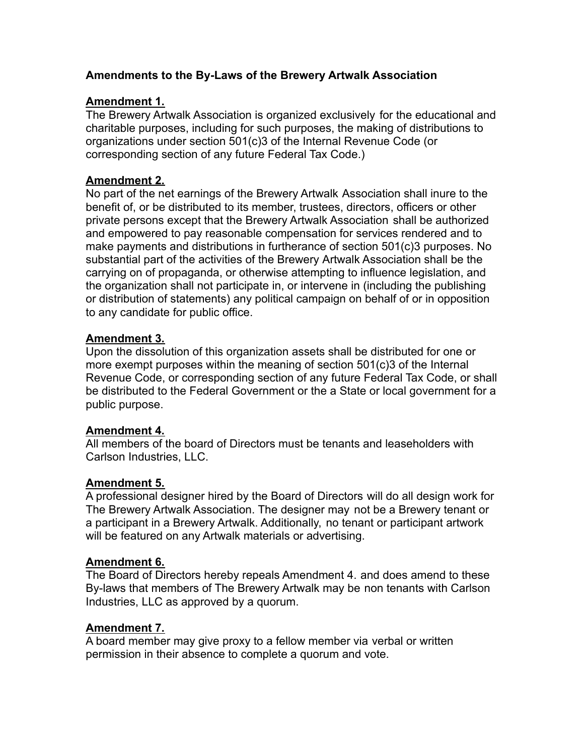# **Amendments to the By-Laws of the Brewery Artwalk Association**

## **Amendment 1.**

The Brewery Artwalk Association is organized exclusively for the educational and charitable purposes, including for such purposes, the making of distributions to organizations under section 501(c)3 of the Internal Revenue Code (or corresponding section of any future Federal Tax Code.)

## **Amendment 2.**

No part of the net earnings of the Brewery Artwalk Association shall inure to the benefit of, or be distributed to its member, trustees, directors, officers or other private persons except that the Brewery Artwalk Association shall be authorized and empowered to pay reasonable compensation for services rendered and to make payments and distributions in furtherance of section 501(c)3 purposes. No substantial part of the activities of the Brewery Artwalk Association shall be the carrying on of propaganda, or otherwise attempting to influence legislation, and the organization shall not participate in, or intervene in (including the publishing or distribution of statements) any political campaign on behalf of or in opposition to any candidate for public office.

## **Amendment 3.**

Upon the dissolution of this organization assets shall be distributed for one or more exempt purposes within the meaning of section 501(c)3 of the Internal Revenue Code, or corresponding section of any future Federal Tax Code, or shall be distributed to the Federal Government or the a State or local government for a public purpose.

## **Amendment 4.**

All members of the board of Directors must be tenants and leaseholders with Carlson Industries, LLC.

## **Amendment 5.**

A professional designer hired by the Board of Directors will do all design work for The Brewery Artwalk Association. The designer may not be a Brewery tenant or a participant in a Brewery Artwalk. Additionally, no tenant or participant artwork will be featured on any Artwalk materials or advertising.

## **Amendment 6.**

The Board of Directors hereby repeals Amendment 4. and does amend to these By-laws that members of The Brewery Artwalk may be non tenants with Carlson Industries, LLC as approved by a quorum.

## **Amendment 7.**

A board member may give proxy to a fellow member via verbal or written permission in their absence to complete a quorum and vote.